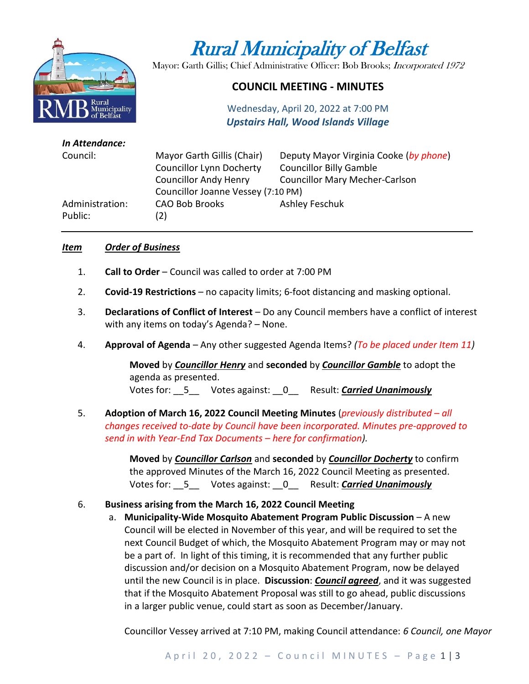

# Rural Municipality of Belfast

Mayor: Garth Gillis; Chief Administrative Officer: Bob Brooks; Incorporated 1972

## **COUNCIL MEETING - MINUTES**

Wednesday, April 20, 2022 at 7:00 PM *Upstairs Hall, Wood Islands Village*

| In Attendance:  |                                    |                                        |
|-----------------|------------------------------------|----------------------------------------|
| Council:        | Mayor Garth Gillis (Chair)         | Deputy Mayor Virginia Cooke (by phone) |
|                 | <b>Councillor Lynn Docherty</b>    | <b>Councillor Billy Gamble</b>         |
|                 | <b>Councillor Andy Henry</b>       | <b>Councillor Mary Mecher-Carlson</b>  |
|                 | Councillor Joanne Vessey (7:10 PM) |                                        |
| Administration: | <b>CAO Bob Brooks</b>              | Ashley Feschuk                         |
| Public:         | (2)                                |                                        |
|                 |                                    |                                        |

#### *Item Order of Business*

- 1. **Call to Order** Council was called to order at 7:00 PM
- 2. **Covid-19 Restrictions**  no capacity limits; 6-foot distancing and masking optional.
- 3. **Declarations of Conflict of Interest** Do any Council members have a conflict of interest with any items on today's Agenda? – None.
- 4. **Approval of Agenda** Any other suggested Agenda Items? *(To be placed under Item 11)*

**Moved** by *Councillor Henry* and **seconded** by *Councillor Gamble* to adopt the agenda as presented. Votes for: \_\_5\_\_ Votes against: \_\_0\_\_ Result: *Carried Unanimously*

5. **Adoption of March 16, 2022 Council Meeting Minutes** (*previously distributed – all changes received to-date by Council have been incorporated. Minutes pre-approved to send in with Year-End Tax Documents – here for confirmation).*

> **Moved** by *Councillor Carlson* and **seconded** by *Councillor Docherty* to confirm the approved Minutes of the March 16, 2022 Council Meeting as presented. Votes for: \_\_5\_\_ Votes against: \_\_0\_\_ Result: *Carried Unanimously*

#### 6. **Business arising from the March 16, 2022 Council Meeting**

a. **Municipality-Wide Mosquito Abatement Program Public Discussion** – A new Council will be elected in November of this year, and will be required to set the next Council Budget of which, the Mosquito Abatement Program may or may not be a part of. In light of this timing, it is recommended that any further public discussion and/or decision on a Mosquito Abatement Program, now be delayed until the new Council is in place. **Discussion**: *Council agreed*, and it was suggested that if the Mosquito Abatement Proposal was still to go ahead, public discussions in a larger public venue, could start as soon as December/January.

Councillor Vessey arrived at 7:10 PM, making Council attendance: *6 Council, one Mayor*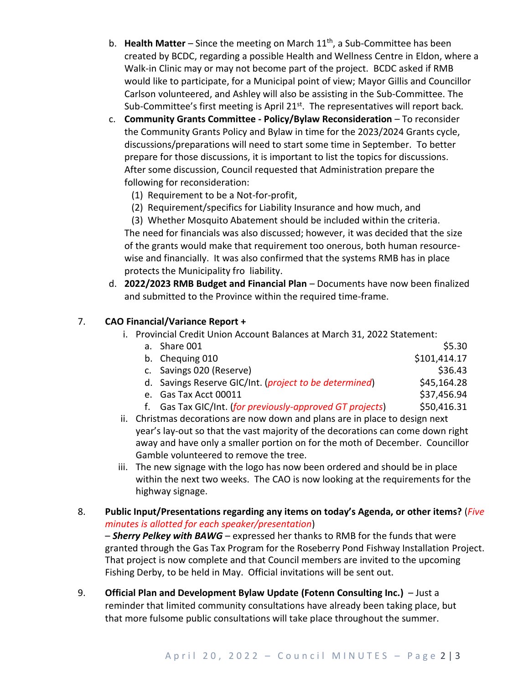- b. **Health Matter** Since the meeting on March 11<sup>th</sup>, a Sub-Committee has been created by BCDC, regarding a possible Health and Wellness Centre in Eldon, where a Walk-in Clinic may or may not become part of the project. BCDC asked if RMB would like to participate, for a Municipal point of view; Mayor Gillis and Councillor Carlson volunteered, and Ashley will also be assisting in the Sub-Committee. The Sub-Committee's first meeting is April 21<sup>st</sup>. The representatives will report back.
- c. **Community Grants Committee - Policy/Bylaw Reconsideration**  To reconsider the Community Grants Policy and Bylaw in time for the 2023/2024 Grants cycle, discussions/preparations will need to start some time in September. To better prepare for those discussions, it is important to list the topics for discussions. After some discussion, Council requested that Administration prepare the following for reconsideration:
	- (1) Requirement to be a Not-for-profit,
	- (2) Requirement/specifics for Liability Insurance and how much, and

 (3) Whether Mosquito Abatement should be included within the criteria. The need for financials was also discussed; however, it was decided that the size of the grants would make that requirement too onerous, both human resourcewise and financially. It was also confirmed that the systems RMB has in place protects the Municipality fro liability.

d. **2022/2023 RMB Budget and Financial Plan** – Documents have now been finalized and submitted to the Province within the required time-frame.

### 7. **CAO Financial/Variance Report +**

- i. Provincial Credit Union Account Balances at March 31, 2022 Statement:
	- a. Share  $001$   $$5.30$ b. Chequing 010  $$101,414.17$ c. Savings 020 (Reserve)  $\frac{1}{2}$  (Savings 020 (Reserve) d. Savings Reserve GIC/Int. (*project to be determined*) \$45,164.28 e. Gas Tax Acct 00011 \$37,456.94 f. Gas Tax GIC/Int. (*for previously-approved GT projects*) \$50,416.31
- ii. Christmas decorations are now down and plans are in place to design next year's lay-out so that the vast majority of the decorations can come down right
- away and have only a smaller portion on for the moth of December. Councillor Gamble volunteered to remove the tree. iii. The new signage with the logo has now been ordered and should be in place
- within the next two weeks. The CAO is now looking at the requirements for the highway signage.

8. **Public Input/Presentations regarding any items on today's Agenda, or other items?** (*Five minutes is allotted for each speaker/presentation*)

– *Sherry Pelkey with BAWG* – expressed her thanks to RMB for the funds that were granted through the Gas Tax Program for the Roseberry Pond Fishway Installation Project. That project is now complete and that Council members are invited to the upcoming Fishing Derby, to be held in May. Official invitations will be sent out.

9. **Official Plan and Development Bylaw Update (Fotenn Consulting Inc.)** – Just a reminder that limited community consultations have already been taking place, but that more fulsome public consultations will take place throughout the summer.